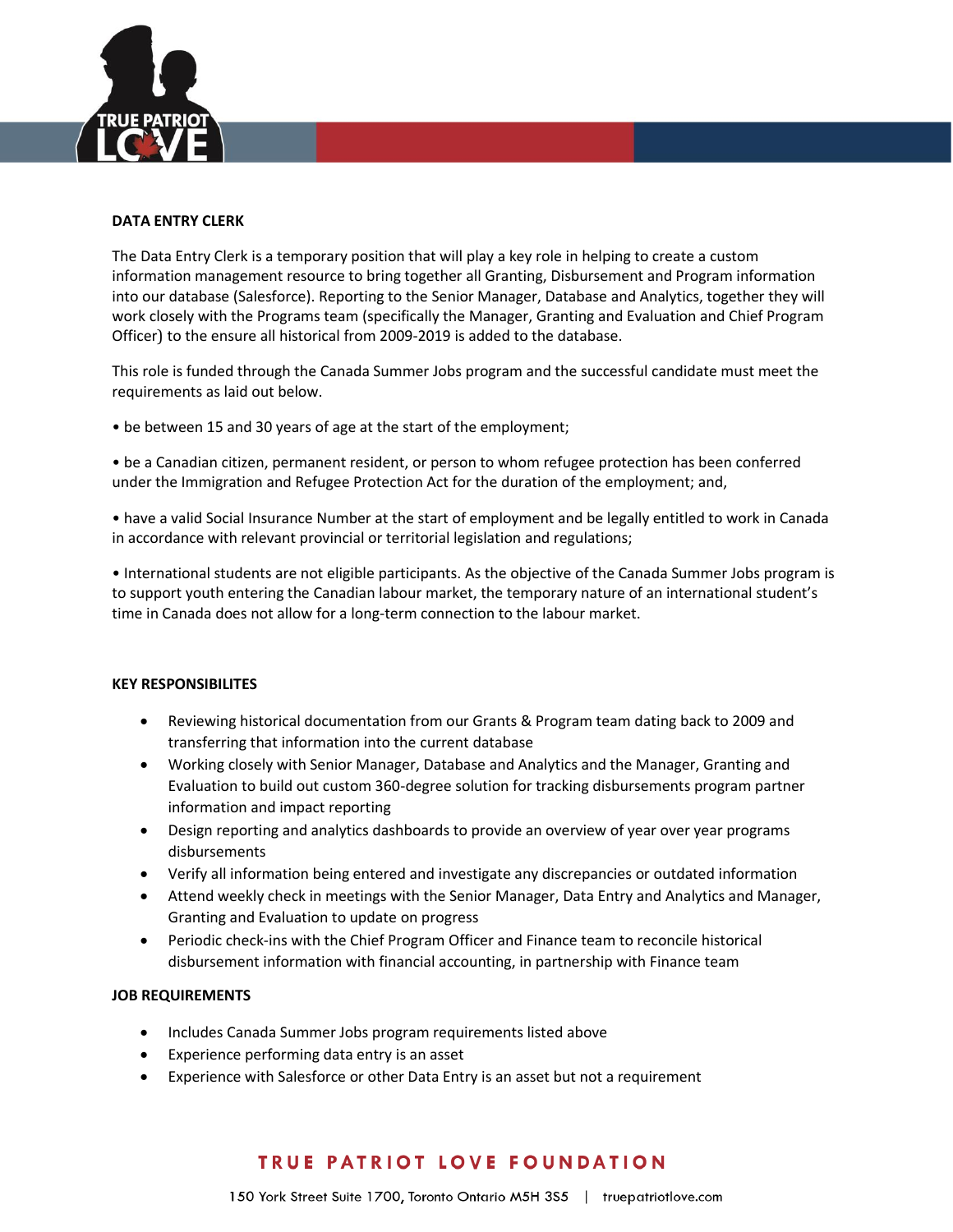

#### **DATA ENTRY CLERK**

The Data Entry Clerk is a temporary position that will play a key role in helping to create a custom information management resource to bring together all Granting, Disbursement and Program information into our database (Salesforce). Reporting to the Senior Manager, Database and Analytics, together they will work closely with the Programs team (specifically the Manager, Granting and Evaluation and Chief Program Officer) to the ensure all historical from 2009-2019 is added to the database.

This role is funded through the Canada Summer Jobs program and the successful candidate must meet the requirements as laid out below.

• be between 15 and 30 years of age at the start of the employment;

• be a Canadian citizen, permanent resident, or person to whom refugee protection has been conferred under the Immigration and Refugee Protection Act for the duration of the employment; and,

• have a valid Social Insurance Number at the start of employment and be legally entitled to work in Canada in accordance with relevant provincial or territorial legislation and regulations;

• International students are not eligible participants. As the objective of the Canada Summer Jobs program is to support youth entering the Canadian labour market, the temporary nature of an international student's time in Canada does not allow for a long-term connection to the labour market.

### **KEY RESPONSIBILITES**

- Reviewing historical documentation from our Grants & Program team dating back to 2009 and transferring that information into the current database
- Working closely with Senior Manager, Database and Analytics and the Manager, Granting and Evaluation to build out custom 360-degree solution for tracking disbursements program partner information and impact reporting
- Design reporting and analytics dashboards to provide an overview of year over year programs disbursements
- Verify all information being entered and investigate any discrepancies or outdated information
- Attend weekly check in meetings with the Senior Manager, Data Entry and Analytics and Manager, Granting and Evaluation to update on progress
- Periodic check-ins with the Chief Program Officer and Finance team to reconcile historical disbursement information with financial accounting, in partnership with Finance team

#### **JOB REQUIREMENTS**

- Includes Canada Summer Jobs program requirements listed above
- Experience performing data entry is an asset
- Experience with Salesforce or other Data Entry is an asset but not a requirement

# TRUE PATRIOT LOVE FOUNDATION